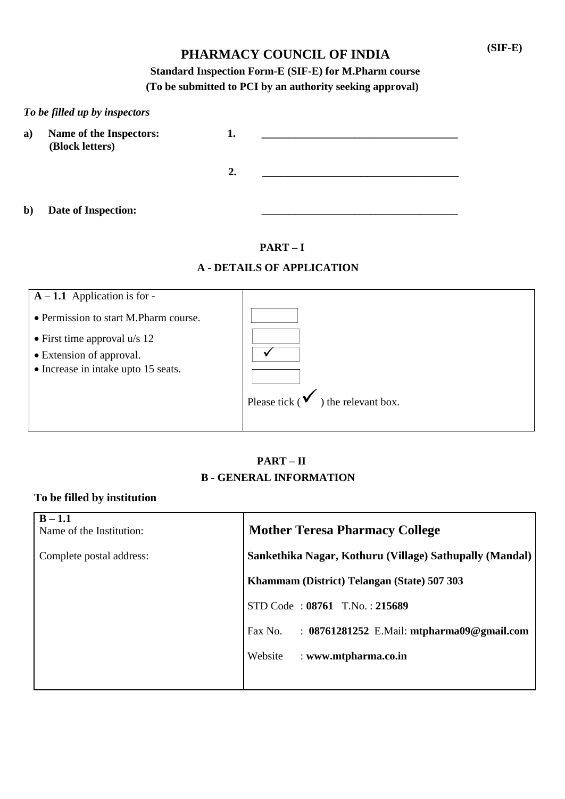# **PHARMACY COUNCIL OF INDIA (SIF-E)**

### **Standard Inspection Form-E (SIF-E) for M.Pharm course (To be submitted to PCI by an authority seeking approval)**

|              | To be filled up by inspectors              |    |  |
|--------------|--------------------------------------------|----|--|
| a)           | Name of the Inspectors:<br>(Block letters) | 1. |  |
|              |                                            | 2. |  |
| $\mathbf{b}$ | Date of Inspection:                        |    |  |

**PART – I**

### **A - DETAILS OF APPLICATION**

| $A - 1.1$ Application is for -        |                                                |
|---------------------------------------|------------------------------------------------|
| • Permission to start M.Pharm course. |                                                |
| • First time approval $u/s$ 12        |                                                |
| • Extension of approval.              |                                                |
| • Increase in intake upto 15 seats.   |                                                |
|                                       |                                                |
|                                       | Please tick ( $\checkmark$ ) the relevant box. |
|                                       |                                                |

### **PART – II B - GENERAL INFORMATION**

### **To be filled by institution**

| $B - 1.1$<br>Name of the Institution: | <b>Mother Teresa Pharmacy College</b>                       |
|---------------------------------------|-------------------------------------------------------------|
| Complete postal address:              | Sankethika Nagar, Kothuru (Village) Sathupally (Mandal)     |
|                                       | Khammam (District) Telangan (State) 507 303                 |
|                                       | STD Code: 08761 T.No.: 215689                               |
|                                       | Fax No.<br>: $08761281252$ E.Mail: mtpharma $09@$ gmail.com |
|                                       | Website<br>: www.mtpharma.co.in                             |
|                                       |                                                             |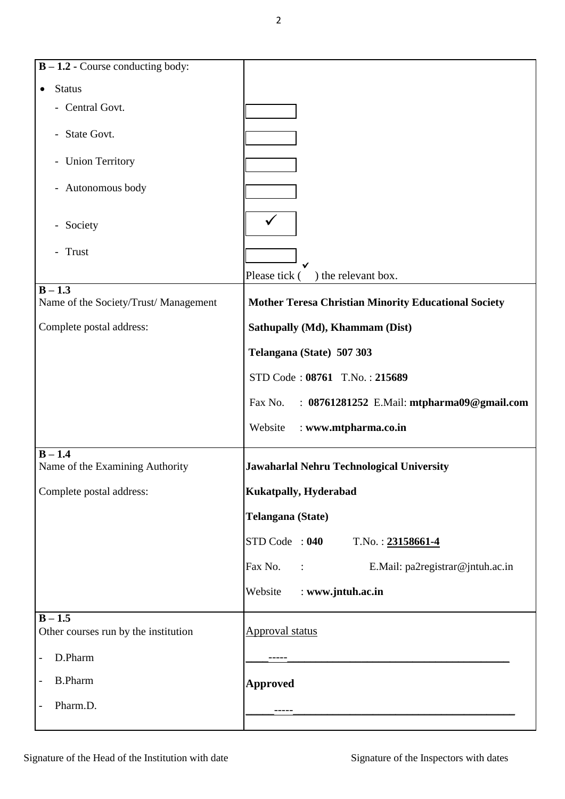**B – 1.2 -** Course conducting body: • Status - Central Govt. - State Govt. - Union Territory - Autonomous body - Society - Trust Please tick (  $\checkmark$ ) the relevant box.  $\overline{B-1.3}$ Name of the Society/Trust/ Management **Mother Teresa Christian Minority Educational Society** Complete postal address: **Sathupally (Md), Khammam (Dist) Sathupally (Md)**, **Khammam (Dist) Telangana (State) 507 303** STD Code : **08761** T.No. : **215689** Fax No. : **08761281252** E.Mail: **mtpharma09@gmail.com**  Website : **www.mtpharma.co.in**  $B - 1.4$ Name of the Examining Authority **Jawaharlal Nehru Technological University**  Complete postal address: **Kukatpally, Hyderabad Telangana (State)** STD Code : **040** T.No. : **23158661-4** Fax No. : E.Mail: pa2registrar@jntuh.ac.in Website : **www.jntuh.ac.in**  $\overline{B - 1.5}$ Other courses run by the institution  $\Delta$ pproval status - D.Pharm \_\_\_\_-----\_\_\_\_\_\_\_\_\_\_\_\_\_\_\_\_\_\_\_\_\_\_\_\_\_\_\_\_\_\_\_\_\_\_\_\_\_\_\_ - B.Pharm **Approved** - Pharm.D.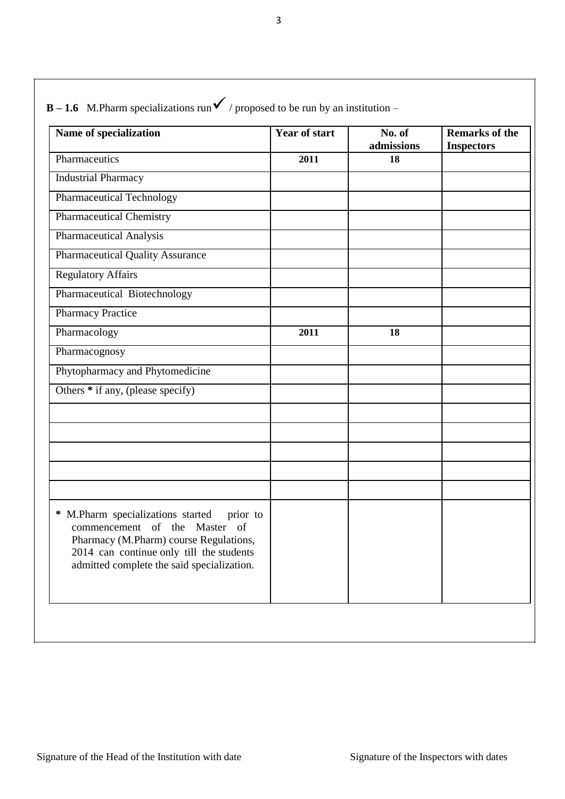| Name of specialization                                                                                                                                                                                                | <b>Year of start</b> | No. of<br>admissions | <b>Remarks of the</b><br><b>Inspectors</b> |
|-----------------------------------------------------------------------------------------------------------------------------------------------------------------------------------------------------------------------|----------------------|----------------------|--------------------------------------------|
| Pharmaceutics                                                                                                                                                                                                         | 2011                 | 18                   |                                            |
| <b>Industrial Pharmacy</b>                                                                                                                                                                                            |                      |                      |                                            |
| <b>Pharmaceutical Technology</b>                                                                                                                                                                                      |                      |                      |                                            |
| <b>Pharmaceutical Chemistry</b>                                                                                                                                                                                       |                      |                      |                                            |
| <b>Pharmaceutical Analysis</b>                                                                                                                                                                                        |                      |                      |                                            |
| <b>Pharmaceutical Quality Assurance</b>                                                                                                                                                                               |                      |                      |                                            |
| <b>Regulatory Affairs</b>                                                                                                                                                                                             |                      |                      |                                            |
| Pharmaceutical Biotechnology                                                                                                                                                                                          |                      |                      |                                            |
| <b>Pharmacy Practice</b>                                                                                                                                                                                              |                      |                      |                                            |
| Pharmacology                                                                                                                                                                                                          | 2011                 | 18                   |                                            |
| Pharmacognosy                                                                                                                                                                                                         |                      |                      |                                            |
| Phytopharmacy and Phytomedicine                                                                                                                                                                                       |                      |                      |                                            |
| Others * if any, (please specify)                                                                                                                                                                                     |                      |                      |                                            |
|                                                                                                                                                                                                                       |                      |                      |                                            |
|                                                                                                                                                                                                                       |                      |                      |                                            |
|                                                                                                                                                                                                                       |                      |                      |                                            |
|                                                                                                                                                                                                                       |                      |                      |                                            |
|                                                                                                                                                                                                                       |                      |                      |                                            |
| M.Pharm specializations started<br>∗<br>prior to<br>commencement of the Master of<br>Pharmacy (M.Pharm) course Regulations,<br>2014 can continue only till the students<br>admitted complete the said specialization. |                      |                      |                                            |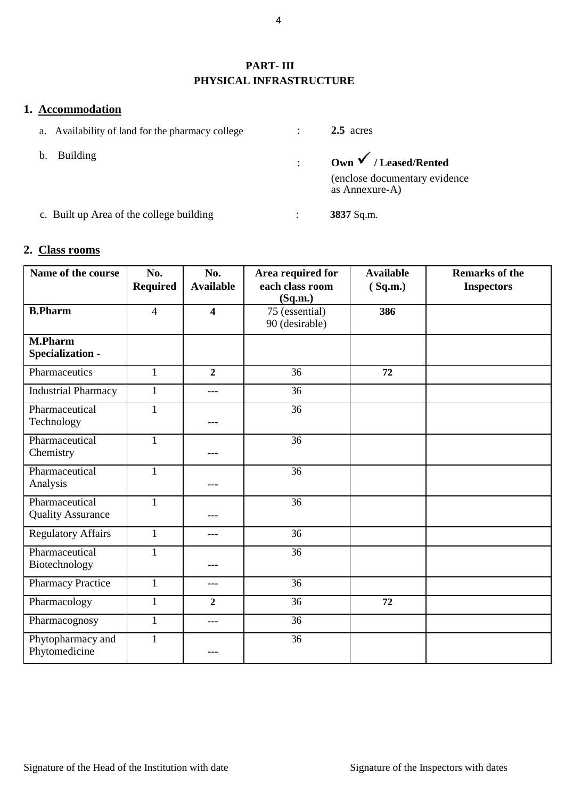### **PART- III PHYSICAL INFRASTRUCTURE**

### **1. Accommodation**

- a. Availability of land for the pharmacy college
- b. Building

: **2.5** acres

: **Own/ Leased/Rented**  (enclose documentary evidence as Annexure-A)

c. Built up Area of the college building : **3837** Sq.m.

### **2. Class rooms**

| Name of the course                                  | No.<br><b>Required</b> | No.<br><b>Available</b> | Area required for<br>each class room<br>(Sq.m.) | <b>Available</b><br>(Sq.m.) | <b>Remarks of the</b><br><b>Inspectors</b> |
|-----------------------------------------------------|------------------------|-------------------------|-------------------------------------------------|-----------------------------|--------------------------------------------|
| <b>B.Pharm</b>                                      | $\overline{4}$         | $\overline{\mathbf{4}}$ | 75 (essential)<br>90 (desirable)                | 386                         |                                            |
| $\overline{\mathbf{M}}$ . Pharm<br>Specialization - |                        |                         |                                                 |                             |                                            |
| Pharmaceutics                                       | $\mathbf{1}$           | $\overline{2}$          | 36                                              | 72                          |                                            |
| <b>Industrial Pharmacy</b>                          | $\mathbf{1}$           | ---                     | 36                                              |                             |                                            |
| Pharmaceutical<br>Technology                        | $\mathbf{1}$           | ---                     | 36                                              |                             |                                            |
| Pharmaceutical<br>Chemistry                         | $\mathbf{1}$           | ---                     | $\overline{36}$                                 |                             |                                            |
| Pharmaceutical<br>Analysis                          | $\mathbf{1}$           | ---                     | $\overline{36}$                                 |                             |                                            |
| Pharmaceutical<br><b>Quality Assurance</b>          | $\mathbf{1}$           |                         | $\overline{36}$                                 |                             |                                            |
| <b>Regulatory Affairs</b>                           | $\mathbf{1}$           | ---                     | 36                                              |                             |                                            |
| Pharmaceutical<br>Biotechnology                     | $\mathbf{1}$           | ---                     | $\overline{36}$                                 |                             |                                            |
| <b>Pharmacy Practice</b>                            | $\mathbf{1}$           | ---                     | 36                                              |                             |                                            |
| Pharmacology                                        | $\mathbf{1}$           | $\overline{2}$          | $\overline{36}$                                 | 72                          |                                            |
| Pharmacognosy                                       | $\mathbf{1}$           | ---                     | 36                                              |                             |                                            |
| Phytopharmacy and<br>Phytomedicine                  | $\mathbf{1}$           |                         | 36                                              |                             |                                            |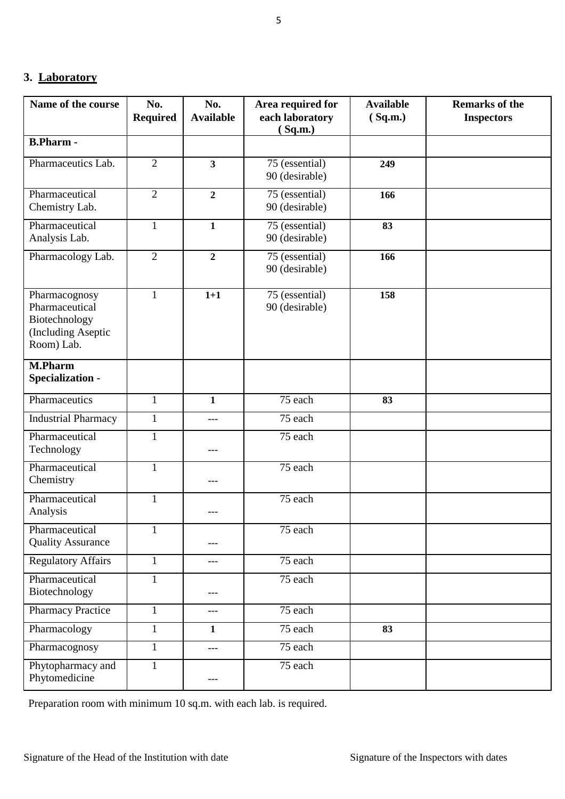### **3. Laboratory**

| Name of the course                                                                   | No.<br><b>Required</b> | No.<br><b>Available</b>  | Area required for<br>each laboratory<br>(Sq.m.) | <b>Available</b><br>(Sq.m.) | <b>Remarks of the</b><br><b>Inspectors</b> |
|--------------------------------------------------------------------------------------|------------------------|--------------------------|-------------------------------------------------|-----------------------------|--------------------------------------------|
| <b>B.Pharm-</b>                                                                      |                        |                          |                                                 |                             |                                            |
| Pharmaceutics Lab.                                                                   | $\overline{2}$         | $\overline{\mathbf{3}}$  | 75 (essential)<br>90 (desirable)                | 249                         |                                            |
| Pharmaceutical<br>Chemistry Lab.                                                     | $\overline{2}$         | $\overline{2}$           | 75 (essential)<br>90 (desirable)                | 166                         |                                            |
| Pharmaceutical<br>Analysis Lab.                                                      | $\mathbf{1}$           | $\mathbf{1}$             | 75 (essential)<br>90 (desirable)                | 83                          |                                            |
| Pharmacology Lab.                                                                    | $\overline{2}$         | $\overline{2}$           | 75 (essential)<br>90 (desirable)                | 166                         |                                            |
| Pharmacognosy<br>Pharmaceutical<br>Biotechnology<br>(Including Aseptic<br>Room) Lab. | $\mathbf{1}$           | $1+1$                    | 75 (essential)<br>90 (desirable)                | 158                         |                                            |
| <b>M.Pharm</b><br>Specialization -                                                   |                        |                          |                                                 |                             |                                            |
| Pharmaceutics                                                                        | $\mathbf{1}$           | $\mathbf{1}$             | 75 each                                         | 83                          |                                            |
| <b>Industrial Pharmacy</b>                                                           | $\mathbf{1}$           | ---                      | 75 each                                         |                             |                                            |
| Pharmaceutical<br>Technology                                                         | $\mathbf{1}$           | $--$                     | 75 each                                         |                             |                                            |
| Pharmaceutical<br>Chemistry                                                          | $\mathbf{1}$           | ---                      | 75 each                                         |                             |                                            |
| Pharmaceutical<br>Analysis                                                           | $\mathbf{1}$           | ---                      | 75 each                                         |                             |                                            |
| Pharmaceutical<br><b>Quality Assurance</b>                                           | $\mathbf{1}$           |                          | 75 each                                         |                             |                                            |
| <b>Regulatory Affairs</b>                                                            | $\mathbf{1}$           | ---                      | 75 each                                         |                             |                                            |
| Pharmaceutical<br>Biotechnology                                                      | $\mathbf{1}$           | ---                      | 75 each                                         |                             |                                            |
| <b>Pharmacy Practice</b>                                                             | $\mathbf{1}$           | $\overline{\phantom{a}}$ | 75 each                                         |                             |                                            |
| Pharmacology                                                                         | $\mathbf{1}$           | $\mathbf{1}$             | 75 each                                         | 83                          |                                            |
| Pharmacognosy                                                                        | $\mathbf{1}$           | ---                      | 75 each                                         |                             |                                            |
| Phytopharmacy and<br>Phytomedicine                                                   | $\mathbf{1}$           | ---                      | 75 each                                         |                             |                                            |

Preparation room with minimum 10 sq.m. with each lab. is required.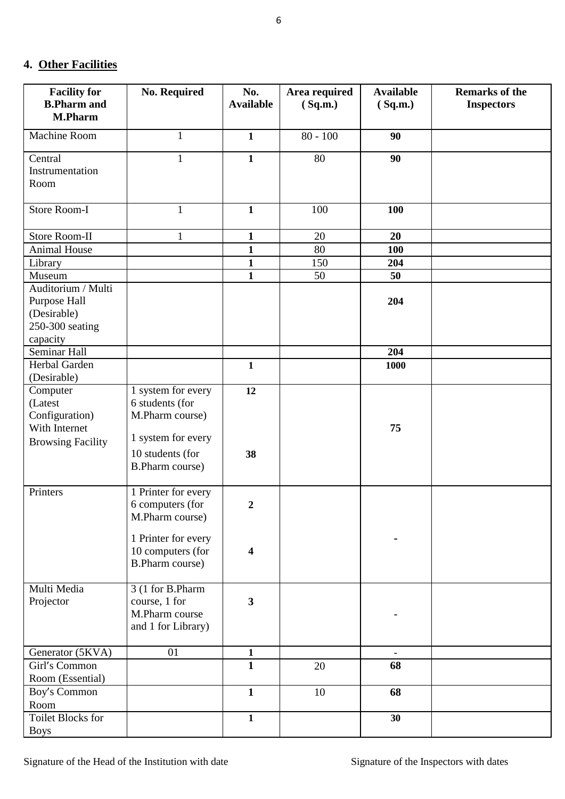## **4. Other Facilities**

| <b>Facility for</b><br><b>B.Pharm and</b> | <b>No. Required</b>    | No.                     | Area required | <b>Available</b> | <b>Remarks of the</b> |
|-------------------------------------------|------------------------|-------------------------|---------------|------------------|-----------------------|
| <b>M.Pharm</b>                            |                        | <b>Available</b>        | (Sq.m.)       | (Sq.m.)          | <b>Inspectors</b>     |
| Machine Room                              | $\mathbf{1}$           | $\mathbf{1}$            | $80 - 100$    | 90               |                       |
|                                           |                        |                         |               |                  |                       |
| Central<br>Instrumentation                | $\mathbf{1}$           | $\mathbf{1}$            | 80            | 90               |                       |
| Room                                      |                        |                         |               |                  |                       |
|                                           |                        |                         |               |                  |                       |
| Store Room-I                              | $\mathbf{1}$           | $\mathbf{1}$            | 100           | 100              |                       |
| <b>Store Room-II</b>                      | $\mathbf{1}$           | $\mathbf{1}$            | 20            | 20               |                       |
| <b>Animal House</b>                       |                        | $\mathbf{1}$            | 80            | 100              |                       |
| Library                                   |                        | $\mathbf{1}$            | 150           | 204              |                       |
| Museum                                    |                        | $\mathbf{1}$            | 50            | 50               |                       |
| Auditorium / Multi                        |                        |                         |               |                  |                       |
| Purpose Hall                              |                        |                         |               | 204              |                       |
| (Desirable)                               |                        |                         |               |                  |                       |
| 250-300 seating                           |                        |                         |               |                  |                       |
| capacity                                  |                        |                         |               |                  |                       |
| Seminar Hall                              |                        |                         |               | 204              |                       |
| Herbal Garden                             |                        | $\mathbf{1}$            |               | 1000             |                       |
| (Desirable)                               |                        |                         |               |                  |                       |
| Computer                                  | 1 system for every     | 12                      |               |                  |                       |
| (Latest                                   | 6 students (for        |                         |               |                  |                       |
| Configuration)<br>With Internet           | M.Pharm course)        |                         |               |                  |                       |
|                                           | 1 system for every     |                         |               | 75               |                       |
| <b>Browsing Facility</b>                  | 10 students (for       | 38                      |               |                  |                       |
|                                           | <b>B.Pharm course)</b> |                         |               |                  |                       |
|                                           |                        |                         |               |                  |                       |
| Printers                                  | 1 Printer for every    |                         |               |                  |                       |
|                                           | 6 computers (for       | $\boldsymbol{2}$        |               |                  |                       |
|                                           | M.Pharm course)        |                         |               |                  |                       |
|                                           |                        |                         |               |                  |                       |
|                                           | 1 Printer for every    |                         |               |                  |                       |
|                                           | 10 computers (for      | $\overline{\mathbf{4}}$ |               |                  |                       |
|                                           | <b>B.Pharm course)</b> |                         |               |                  |                       |
| Multi Media                               | 3 (1 for B.Pharm       |                         |               |                  |                       |
| Projector                                 | course, 1 for          | $\mathbf{3}$            |               |                  |                       |
|                                           | M.Pharm course         |                         |               |                  |                       |
|                                           | and 1 for Library)     |                         |               |                  |                       |
|                                           |                        |                         |               |                  |                       |
| Generator (5KVA)                          | 01                     | $\mathbf{1}$            |               |                  |                       |
| Girl's Common                             |                        | $\mathbf{1}$            | 20            | 68               |                       |
| Room (Essential)                          |                        |                         |               |                  |                       |
| Boy's Common                              |                        | $\mathbf{1}$            | 10            | 68               |                       |
| Room                                      |                        |                         |               |                  |                       |
| Toilet Blocks for                         |                        | $\mathbf{1}$            |               | 30               |                       |
| <b>Boys</b>                               |                        |                         |               |                  |                       |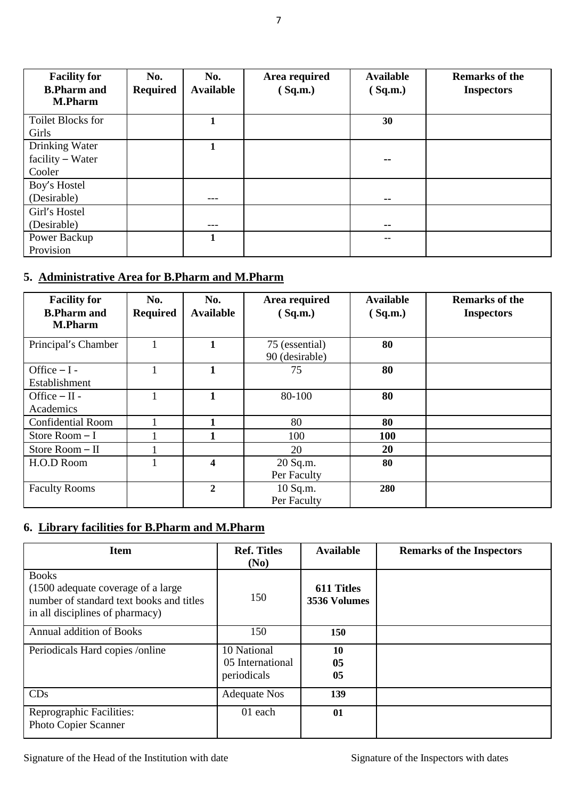| <b>Facility for</b>                  | No.             | No.              | Area required | <b>Available</b> | <b>Remarks of the</b> |
|--------------------------------------|-----------------|------------------|---------------|------------------|-----------------------|
| <b>B.Pharm and</b><br><b>M.Pharm</b> | <b>Required</b> | <b>Available</b> | (Sq.m.)       | (Sq.m.)          | <b>Inspectors</b>     |
|                                      |                 |                  |               |                  |                       |
| <b>Toilet Blocks for</b>             |                 | 1                |               | 30               |                       |
| Girls                                |                 |                  |               |                  |                       |
| Drinking Water                       |                 | 1                |               |                  |                       |
| $facility - Water$                   |                 |                  |               | $\sim$ $\sim$    |                       |
| Cooler                               |                 |                  |               |                  |                       |
| Boy's Hostel                         |                 |                  |               |                  |                       |
| (Desirable)                          |                 | ---              |               | --               |                       |
| Girl's Hostel                        |                 |                  |               |                  |                       |
| (Desirable)                          |                 | $--$             |               | $\sim$ $\sim$    |                       |
| Power Backup                         |                 |                  |               | --               |                       |
| Provision                            |                 |                  |               |                  |                       |

## **5. Administrative Area for B.Pharm and M.Pharm**

| <b>Facility for</b><br><b>B.Pharm and</b><br><b>M.Pharm</b> | No.<br>No.<br><b>Available</b><br><b>Required</b> |                         | Area required<br>(Sq.m.)         | <b>Available</b><br>(Sq.m.) | <b>Remarks of the</b><br><b>Inspectors</b> |
|-------------------------------------------------------------|---------------------------------------------------|-------------------------|----------------------------------|-----------------------------|--------------------------------------------|
| Principal's Chamber                                         |                                                   | 1                       | 75 (essential)<br>90 (desirable) | 80                          |                                            |
| Office $-I -$<br>Establishment                              |                                                   | 1                       | 75                               | 80                          |                                            |
| Office $-II$ -<br>Academics                                 |                                                   | $\mathbf{1}$            | 80-100                           | 80                          |                                            |
| <b>Confidential Room</b>                                    |                                                   | 1                       | 80                               | 80                          |                                            |
| Store Room $-I$                                             |                                                   |                         | 100                              | <b>100</b>                  |                                            |
| Store Room - II                                             |                                                   |                         | 20                               | 20                          |                                            |
| H.O.D Room                                                  |                                                   | $\overline{\mathbf{4}}$ | 20 Sq.m.<br>Per Faculty          | 80                          |                                            |
| <b>Faculty Rooms</b>                                        |                                                   | $\overline{2}$          | 10 Sq.m.<br>Per Faculty          | 280                         |                                            |

## **6. Library facilities for B.Pharm and M.Pharm**

| <b>Item</b>                                                                                                                        | <b>Ref. Titles</b><br>(No)                     | <b>Available</b>                  | <b>Remarks of the Inspectors</b> |
|------------------------------------------------------------------------------------------------------------------------------------|------------------------------------------------|-----------------------------------|----------------------------------|
| <b>Books</b><br>(1500 adequate coverage of a large)<br>number of standard text books and titles<br>in all disciplines of pharmacy) | 150                                            | <b>611 Titles</b><br>3536 Volumes |                                  |
| <b>Annual addition of Books</b>                                                                                                    | 150                                            | 150                               |                                  |
| Periodicals Hard copies /online                                                                                                    | 10 National<br>05 International<br>periodicals | 10<br>05<br>05                    |                                  |
| CDs                                                                                                                                | <b>Adequate Nos</b>                            | 139                               |                                  |
| Reprographic Facilities:<br>Photo Copier Scanner                                                                                   | 01 each                                        | 01                                |                                  |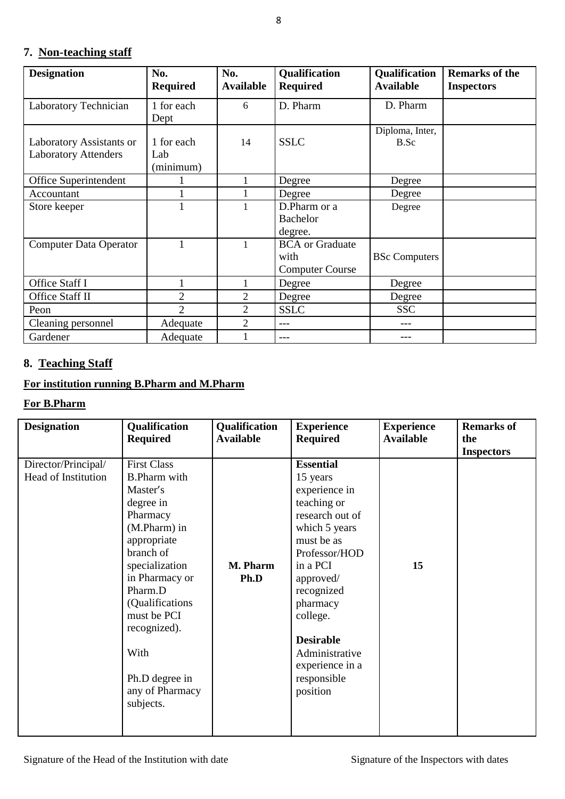## **7. Non-teaching staff**

| <b>Designation</b>                                      | No.<br><b>Required</b>         | No.<br><b>Available</b> | <b>Qualification</b><br><b>Required</b>                  | <b>Qualification</b><br><b>Available</b> | <b>Remarks of the</b><br><b>Inspectors</b> |
|---------------------------------------------------------|--------------------------------|-------------------------|----------------------------------------------------------|------------------------------------------|--------------------------------------------|
| Laboratory Technician                                   | 1 for each<br>Dept             | 6                       | D. Pharm                                                 | D. Pharm                                 |                                            |
| Laboratory Assistants or<br><b>Laboratory Attenders</b> | 1 for each<br>Lab<br>(minimum) | 14                      | <b>SSLC</b>                                              | Diploma, Inter,<br>B.Sc                  |                                            |
| Office Superintendent                                   |                                | 1                       | Degree                                                   | Degree                                   |                                            |
| Accountant                                              |                                | 1                       | Degree                                                   | Degree                                   |                                            |
| Store keeper                                            |                                | 1                       | D.Pharm or a<br><b>Bachelor</b><br>degree.               | Degree                                   |                                            |
| <b>Computer Data Operator</b>                           |                                | 1                       | <b>BCA</b> or Graduate<br>with<br><b>Computer Course</b> | <b>BSc Computers</b>                     |                                            |
| Office Staff I                                          |                                | 1                       | Degree                                                   | Degree                                   |                                            |
| Office Staff II                                         | 2                              | $\overline{2}$          | Degree                                                   | Degree                                   |                                            |
| Peon                                                    | $\mathfrak{D}$                 | $\overline{2}$          | <b>SSLC</b>                                              | <b>SSC</b>                               |                                            |
| Cleaning personnel                                      | Adequate                       | 2                       | $---$                                                    |                                          |                                            |
| Gardener                                                | Adequate                       |                         | ---                                                      |                                          |                                            |

## **8. Teaching Staff**

### **For institution running B.Pharm and M.Pharm**

### **For B.Pharm**

| <b>Designation</b>                                | Qualification<br><b>Required</b>                                                                                                                                                                                                                                                       | Qualification<br><b>Available</b> | <b>Experience</b><br><b>Required</b>                                                                                                                                                                                                                                               | <b>Experience</b><br><b>Available</b> | <b>Remarks of</b><br>the<br><b>Inspectors</b> |
|---------------------------------------------------|----------------------------------------------------------------------------------------------------------------------------------------------------------------------------------------------------------------------------------------------------------------------------------------|-----------------------------------|------------------------------------------------------------------------------------------------------------------------------------------------------------------------------------------------------------------------------------------------------------------------------------|---------------------------------------|-----------------------------------------------|
| Director/Principal/<br><b>Head of Institution</b> | <b>First Class</b><br><b>B.Pharm with</b><br>Master's<br>degree in<br>Pharmacy<br>(M.Pharm) in<br>appropriate<br>branch of<br>specialization<br>in Pharmacy or<br>Pharm.D<br>(Qualifications)<br>must be PCI<br>recognized).<br>With<br>Ph.D degree in<br>any of Pharmacy<br>subjects. | M. Pharm<br>Ph.D                  | <b>Essential</b><br>15 years<br>experience in<br>teaching or<br>research out of<br>which 5 years<br>must be as<br>Professor/HOD<br>in a PCI<br>approved/<br>recognized<br>pharmacy<br>college.<br><b>Desirable</b><br>Administrative<br>experience in a<br>responsible<br>position | 15                                    |                                               |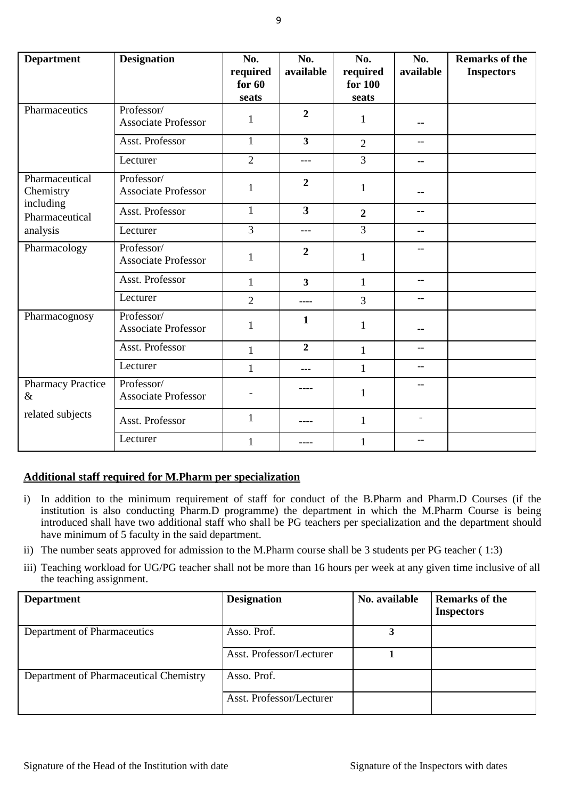| <b>Department</b>                | <b>Designation</b>                       | No.<br>required<br>for $60$<br>seats | No.<br>available        | No.<br>required<br>for 100<br>seats | No.<br>available | <b>Remarks of the</b><br><b>Inspectors</b> |
|----------------------------------|------------------------------------------|--------------------------------------|-------------------------|-------------------------------------|------------------|--------------------------------------------|
| Pharmaceutics                    | Professor/<br><b>Associate Professor</b> | 1                                    | $\overline{2}$          | 1                                   |                  |                                            |
|                                  | Asst. Professor                          | $\mathbf{1}$                         | $\overline{\mathbf{3}}$ | $\overline{2}$                      | --               |                                            |
|                                  | Lecturer                                 | $\overline{2}$                       | $---$                   | $\overline{3}$                      | $- -$            |                                            |
| Pharmaceutical<br>Chemistry      | Professor/<br><b>Associate Professor</b> | $\mathbf{1}$                         | $\overline{2}$          | $\mathbf{1}$                        | --               |                                            |
| including<br>Pharmaceutical      | Asst. Professor                          | $\mathbf{1}$                         | $\overline{\mathbf{3}}$ | $\overline{2}$                      | --               |                                            |
| analysis                         | Lecturer                                 | $\overline{3}$                       | $---$                   | $\overline{3}$                      | --               |                                            |
| Pharmacology                     | Professor/<br><b>Associate Professor</b> | 1                                    | $\overline{2}$          | $\mathbf{1}$                        |                  |                                            |
|                                  | Asst. Professor                          | $\mathbf{1}$                         | $\overline{\mathbf{3}}$ | $\mathbf{1}$                        | --               |                                            |
|                                  | Lecturer                                 | $\overline{2}$                       | ----                    | $\overline{3}$                      | --               |                                            |
| Pharmacognosy                    | Professor/<br><b>Associate Professor</b> | $\mathbf{1}$                         | 1                       | $\mathbf{1}$                        |                  |                                            |
|                                  | Asst. Professor                          | $\mathbf{1}$                         | $\overline{2}$          | $\mathbf{1}$                        | --               |                                            |
|                                  | Lecturer                                 | 1                                    | $- - -$                 | $\mathbf{1}$                        | --               |                                            |
| <b>Pharmacy Practice</b><br>$\&$ | Professor/<br><b>Associate Professor</b> |                                      |                         | 1                                   | --               |                                            |
| related subjects                 | Asst. Professor                          | $\mathbf{1}$                         | ----                    | $\mathbf{1}$                        | ä,               |                                            |
|                                  | Lecturer                                 | $\mathbf{1}$                         | ----                    | $\mathbf{1}$                        | $-$              |                                            |

### **Additional staff required for M.Pharm per specialization**

- i) In addition to the minimum requirement of staff for conduct of the B.Pharm and Pharm.D Courses (if the institution is also conducting Pharm.D programme) the department in which the M.Pharm Course is being introduced shall have two additional staff who shall be PG teachers per specialization and the department should have minimum of 5 faculty in the said department.
- ii) The number seats approved for admission to the M.Pharm course shall be 3 students per PG teacher ( 1:3)
- iii) Teaching workload for UG/PG teacher shall not be more than 16 hours per week at any given time inclusive of all the teaching assignment.

| <b>Department</b>                      | <b>Designation</b>       | No. available | <b>Remarks of the</b><br><b>Inspectors</b> |
|----------------------------------------|--------------------------|---------------|--------------------------------------------|
| Department of Pharmaceutics            | Asso. Prof.              |               |                                            |
|                                        | Asst. Professor/Lecturer |               |                                            |
| Department of Pharmaceutical Chemistry | Asso. Prof.              |               |                                            |
|                                        | Asst. Professor/Lecturer |               |                                            |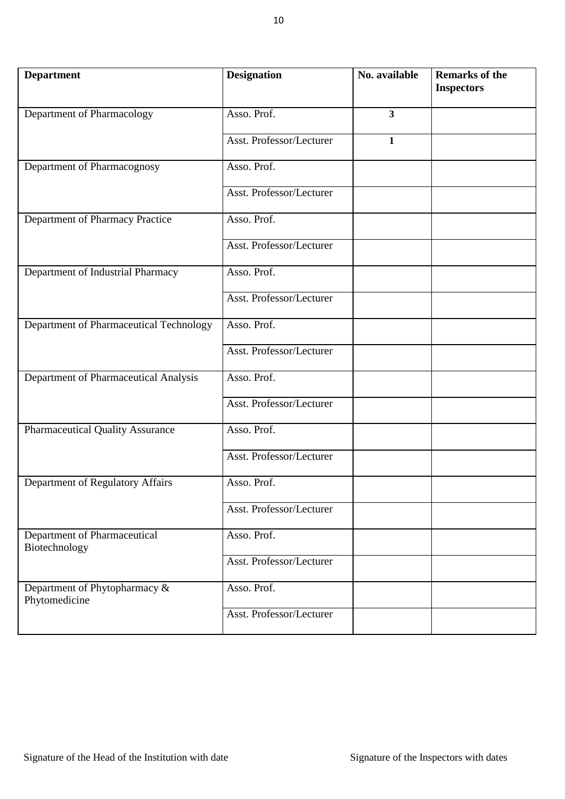| <b>Department</b>                                 | <b>Designation</b>       | No. available           | <b>Remarks of the</b><br><b>Inspectors</b> |
|---------------------------------------------------|--------------------------|-------------------------|--------------------------------------------|
| Department of Pharmacology                        | Asso. Prof.              | $\overline{\mathbf{3}}$ |                                            |
|                                                   | Asst. Professor/Lecturer | $\mathbf{1}$            |                                            |
| Department of Pharmacognosy                       | Asso. Prof.              |                         |                                            |
|                                                   | Asst. Professor/Lecturer |                         |                                            |
| Department of Pharmacy Practice                   | Asso. Prof.              |                         |                                            |
|                                                   | Asst. Professor/Lecturer |                         |                                            |
| Department of Industrial Pharmacy                 | Asso. Prof.              |                         |                                            |
|                                                   | Asst. Professor/Lecturer |                         |                                            |
| Department of Pharmaceutical Technology           | Asso. Prof.              |                         |                                            |
|                                                   | Asst. Professor/Lecturer |                         |                                            |
| Department of Pharmaceutical Analysis             | Asso. Prof.              |                         |                                            |
|                                                   | Asst. Professor/Lecturer |                         |                                            |
| <b>Pharmaceutical Quality Assurance</b>           | Asso. Prof.              |                         |                                            |
|                                                   | Asst. Professor/Lecturer |                         |                                            |
| Department of Regulatory Affairs                  | Asso. Prof.              |                         |                                            |
|                                                   | Asst. Professor/Lecturer |                         |                                            |
| Department of Pharmaceutical<br>Biotechnology     | Asso. Prof.              |                         |                                            |
|                                                   | Asst. Professor/Lecturer |                         |                                            |
| Department of Phytopharmacy $\&$<br>Phytomedicine | Asso. Prof.              |                         |                                            |
|                                                   | Asst. Professor/Lecturer |                         |                                            |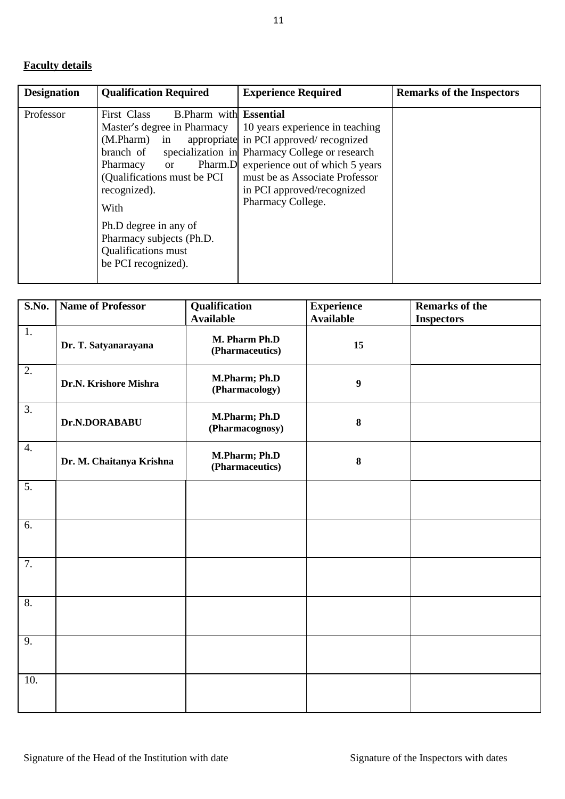## **Faculty details**

| <b>Designation</b> | <b>Qualification Required</b>                                                                                                                                                                                                                                                                                                            | <b>Experience Required</b>                                                                                                                                                                    | <b>Remarks of the Inspectors</b> |
|--------------------|------------------------------------------------------------------------------------------------------------------------------------------------------------------------------------------------------------------------------------------------------------------------------------------------------------------------------------------|-----------------------------------------------------------------------------------------------------------------------------------------------------------------------------------------------|----------------------------------|
| Professor          | First Class<br><b>B.Pharm with Essential</b><br>(M.Pharm) in appropriate in PCI approved/recognized<br>branch of specialization in Pharmacy College or research<br>Pharmacy or<br>(Qualifications must be PCI<br>recognized).<br>With<br>Ph.D degree in any of<br>Pharmacy subjects (Ph.D.<br>Qualifications must<br>be PCI recognized). | Master's degree in Pharmacy   10 years experience in teaching<br>Pharm.D experience out of which 5 years<br>must be as Associate Professor<br>in PCI approved/recognized<br>Pharmacy College. |                                  |

| S.No.            | <b>Name of Professor</b> | Qualification                    | <b>Experience</b> | <b>Remarks of the</b> |
|------------------|--------------------------|----------------------------------|-------------------|-----------------------|
|                  |                          | <b>Available</b>                 | <b>Available</b>  | <b>Inspectors</b>     |
| $\overline{1}$ . | Dr. T. Satyanarayana     | M. Pharm Ph.D<br>(Pharmaceutics) | 15                |                       |
| $\overline{2}$ . | Dr.N. Krishore Mishra    | M.Pharm; Ph.D<br>(Pharmacology)  | 9                 |                       |
| $\overline{3}$ . | Dr.N.DORABABU            | M.Pharm; Ph.D<br>(Pharmacognosy) | $\bf{8}$          |                       |
| $\overline{4}$ . | Dr. M. Chaitanya Krishna | M.Pharm; Ph.D<br>(Pharmaceutics) | 8                 |                       |
| $\overline{5}$ . |                          |                                  |                   |                       |
| 6.               |                          |                                  |                   |                       |
| $\overline{7}$ . |                          |                                  |                   |                       |
| 8.               |                          |                                  |                   |                       |
| $\overline{9}$ . |                          |                                  |                   |                       |
| 10.              |                          |                                  |                   |                       |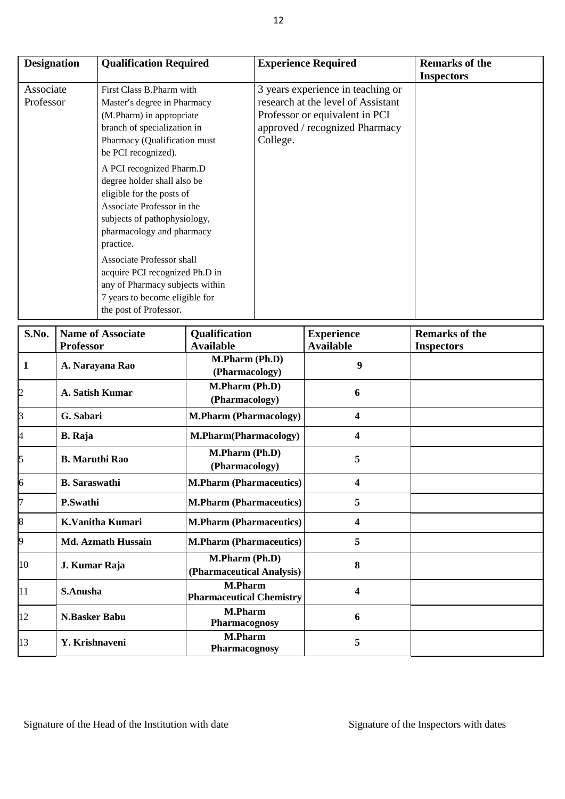| <b>Designation</b>     | <b>Qualification Required</b>                                                                                                                                                                                                                                                                                                                                                                                                                                                                                                            | <b>Experience Required</b>                                                                                                                              | <b>Remarks of the</b><br><b>Inspectors</b> |
|------------------------|------------------------------------------------------------------------------------------------------------------------------------------------------------------------------------------------------------------------------------------------------------------------------------------------------------------------------------------------------------------------------------------------------------------------------------------------------------------------------------------------------------------------------------------|---------------------------------------------------------------------------------------------------------------------------------------------------------|--------------------------------------------|
| Associate<br>Professor | First Class B. Pharm with<br>Master's degree in Pharmacy<br>(M.Pharm) in appropriate<br>branch of specialization in<br>Pharmacy (Qualification must<br>be PCI recognized).<br>A PCI recognized Pharm.D<br>degree holder shall also be<br>eligible for the posts of<br>Associate Professor in the<br>subjects of pathophysiology,<br>pharmacology and pharmacy<br>practice.<br>Associate Professor shall<br>acquire PCI recognized Ph.D in<br>any of Pharmacy subjects within<br>7 years to become eligible for<br>the post of Professor. | 3 years experience in teaching or<br>research at the level of Assistant<br>Professor or equivalent in PCI<br>approved / recognized Pharmacy<br>College. |                                            |

| S.No.                   | <b>Name of Associate</b>  | Qualification                                     | <b>Experience</b> | <b>Remarks of the</b> |
|-------------------------|---------------------------|---------------------------------------------------|-------------------|-----------------------|
|                         | <b>Professor</b>          | <b>Available</b>                                  | <b>Available</b>  | <b>Inspectors</b>     |
| $\mathbf{1}$            | A. Narayana Rao           | M.Pharm (Ph.D)<br>(Pharmacology)                  | 9                 |                       |
| $\overline{\mathbf{c}}$ | A. Satish Kumar           | M.Pharm (Ph.D)<br>(Pharmacology)                  | 6                 |                       |
| $\overline{\mathbf{3}}$ | G. Sabari                 | <b>M.Pharm (Pharmacology)</b>                     | 4                 |                       |
| $\overline{4}$          | <b>B.</b> Raja            | M.Pharm(Pharmacology)                             | 4                 |                       |
| 5                       | <b>B.</b> Maruthi Rao     | M.Pharm (Ph.D)<br>(Pharmacology)                  | 5                 |                       |
| $\overline{6}$          | <b>B.</b> Saraswathi      | <b>M.Pharm (Pharmaceutics)</b>                    | 4                 |                       |
| $\overline{7}$          | P.Swathi                  | <b>M.Pharm (Pharmaceutics)</b>                    | 5                 |                       |
| 8                       | <b>K.Vanitha Kumari</b>   | <b>M.Pharm (Pharmaceutics)</b>                    | 4                 |                       |
| 9                       | <b>Md. Azmath Hussain</b> | <b>M.Pharm (Pharmaceutics)</b>                    | 5                 |                       |
| 10                      | J. Kumar Raja             | M.Pharm (Ph.D)<br>(Pharmaceutical Analysis)       | 8                 |                       |
| 11                      | S.Anusha                  | <b>M.Pharm</b><br><b>Pharmaceutical Chemistry</b> | 4                 |                       |
| 12                      | <b>N.Basker Babu</b>      | <b>M.Pharm</b><br>Pharmacognosy                   | 6                 |                       |
| 13                      | Y. Krishnaveni            | <b>M.Pharm</b><br>Pharmacognosy                   | 5                 |                       |